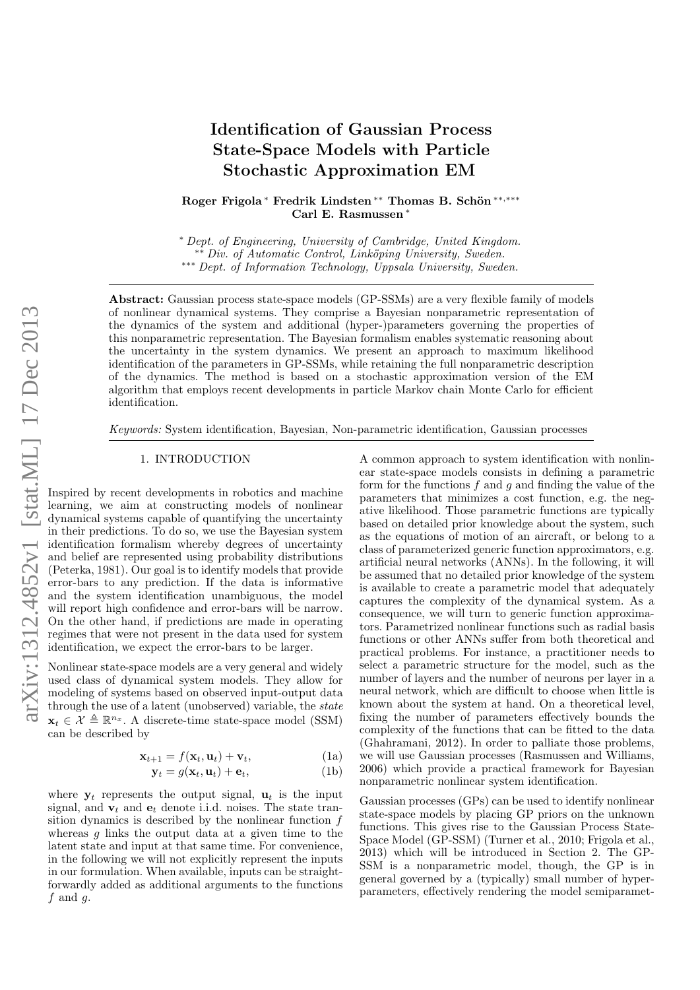# Identification of Gaussian Process State-Space Models with Particle Stochastic Approximation EM

Roger Frigola \* Fredrik Lindsten \*\* Thomas B. Schön \*\*,\*\*\* Carl E. Rasmussen <sup>∗</sup>

<sup>∗</sup> Dept. of Engineering, University of Cambridge, United Kingdom. ∗<sup>∗</sup> Div. of Automatic Control, Linköping University, Sweden. ∗∗∗ Dept. of Information Technology, Uppsala University, Sweden.

Abstract: Gaussian process state-space models (GP-SSMs) are a very flexible family of models of nonlinear dynamical systems. They comprise a Bayesian nonparametric representation of the dynamics of the system and additional (hyper-)parameters governing the properties of this nonparametric representation. The Bayesian formalism enables systematic reasoning about the uncertainty in the system dynamics. We present an approach to maximum likelihood identification of the parameters in GP-SSMs, while retaining the full nonparametric description of the dynamics. The method is based on a stochastic approximation version of the EM algorithm that employs recent developments in particle Markov chain Monte Carlo for efficient identification.

Keywords: System identification, Bayesian, Non-parametric identification, Gaussian processes

# 1. INTRODUCTION

Inspired by recent developments in robotics and machine learning, we aim at constructing models of nonlinear dynamical systems capable of quantifying the uncertainty in their predictions. To do so, we use the Bayesian system identification formalism whereby degrees of uncertainty and belief are represented using probability distributions (Peterka, 1981). Our goal is to identify models that provide error-bars to any prediction. If the data is informative and the system identification unambiguous, the model will report high confidence and error-bars will be narrow. On the other hand, if predictions are made in operating regimes that were not present in the data used for system identification, we expect the error-bars to be larger.

Nonlinear state-space models are a very general and widely used class of dynamical system models. They allow for modeling of systems based on observed input-output data through the use of a latent (unobserved) variable, the state  $\mathbf{x}_t \in \mathcal{X} \triangleq \mathbb{R}^{n_x}$ . A discrete-time state-space model (SSM) can be described by

$$
\mathbf{x}_{t+1} = f(\mathbf{x}_t, \mathbf{u}_t) + \mathbf{v}_t,\tag{1a}
$$

$$
\mathbf{y}_t = g(\mathbf{x}_t, \mathbf{u}_t) + \mathbf{e}_t, \tag{1b}
$$

where  $y_t$  represents the output signal,  $u_t$  is the input signal, and  $v_t$  and  $e_t$  denote i.i.d. noises. The state transition dynamics is described by the nonlinear function f whereas  $g$  links the output data at a given time to the latent state and input at that same time. For convenience, in the following we will not explicitly represent the inputs in our formulation. When available, inputs can be straightforwardly added as additional arguments to the functions f and  $q$ .

A common approach to system identification with nonlinear state-space models consists in defining a parametric form for the functions  $f$  and  $g$  and finding the value of the parameters that minimizes a cost function, e.g. the negative likelihood. Those parametric functions are typically based on detailed prior knowledge about the system, such as the equations of motion of an aircraft, or belong to a class of parameterized generic function approximators, e.g. artificial neural networks (ANNs). In the following, it will be assumed that no detailed prior knowledge of the system is available to create a parametric model that adequately captures the complexity of the dynamical system. As a consequence, we will turn to generic function approximators. Parametrized nonlinear functions such as radial basis functions or other ANNs suffer from both theoretical and practical problems. For instance, a practitioner needs to select a parametric structure for the model, such as the number of layers and the number of neurons per layer in a neural network, which are difficult to choose when little is known about the system at hand. On a theoretical level, fixing the number of parameters effectively bounds the complexity of the functions that can be fitted to the data (Ghahramani, 2012). In order to palliate those problems, we will use Gaussian processes (Rasmussen and Williams, 2006) which provide a practical framework for Bayesian nonparametric nonlinear system identification.

Gaussian processes (GPs) can be used to identify nonlinear state-space models by placing GP priors on the unknown functions. This gives rise to the Gaussian Process State-Space Model (GP-SSM) (Turner et al., 2010; Frigola et al., 2013) which will be introduced in Section 2. The GP-SSM is a nonparametric model, though, the GP is in general governed by a (typically) small number of hyperparameters, effectively rendering the model semiparamet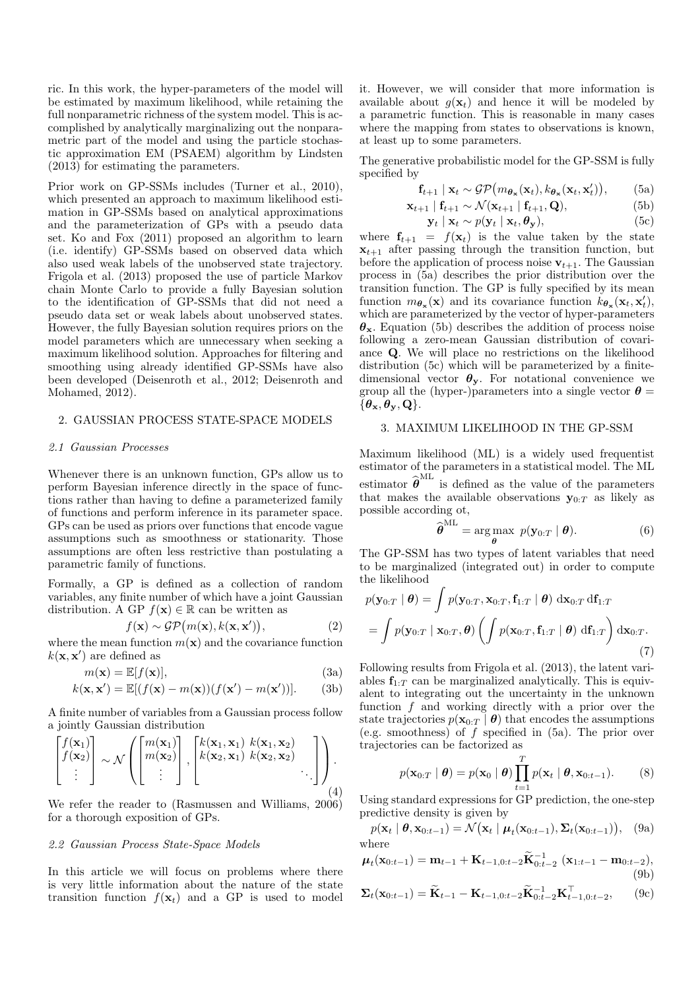ric. In this work, the hyper-parameters of the model will be estimated by maximum likelihood, while retaining the full nonparametric richness of the system model. This is accomplished by analytically marginalizing out the nonparametric part of the model and using the particle stochastic approximation EM (PSAEM) algorithm by Lindsten (2013) for estimating the parameters.

Prior work on GP-SSMs includes (Turner et al., 2010), which presented an approach to maximum likelihood estimation in GP-SSMs based on analytical approximations and the parameterization of GPs with a pseudo data set. Ko and Fox (2011) proposed an algorithm to learn (i.e. identify) GP-SSMs based on observed data which also used weak labels of the unobserved state trajectory. Frigola et al. (2013) proposed the use of particle Markov chain Monte Carlo to provide a fully Bayesian solution to the identification of GP-SSMs that did not need a pseudo data set or weak labels about unobserved states. However, the fully Bayesian solution requires priors on the model parameters which are unnecessary when seeking a maximum likelihood solution. Approaches for filtering and smoothing using already identified GP-SSMs have also been developed (Deisenroth et al., 2012; Deisenroth and Mohamed, 2012).

## 2. GAUSSIAN PROCESS STATE-SPACE MODELS

#### 2.1 Gaussian Processes

Whenever there is an unknown function, GPs allow us to perform Bayesian inference directly in the space of functions rather than having to define a parameterized family of functions and perform inference in its parameter space. GPs can be used as priors over functions that encode vague assumptions such as smoothness or stationarity. Those assumptions are often less restrictive than postulating a parametric family of functions.

Formally, a GP is defined as a collection of random variables, any finite number of which have a joint Gaussian distribution. A GP  $f(\mathbf{x}) \in \mathbb{R}$  can be written as

$$
f(\mathbf{x}) \sim \mathcal{GP}\big(m(\mathbf{x}), k(\mathbf{x}, \mathbf{x}')\big),\tag{2}
$$

where the mean function  $m(\mathbf{x})$  and the covariance function  $k(\mathbf{x}, \mathbf{x}')$  are defined as

$$
m(\mathbf{x}) = \mathbb{E}[f(\mathbf{x})],\tag{3a}
$$

$$
k(\mathbf{x}, \mathbf{x}') = \mathbb{E}[(f(\mathbf{x}) - m(\mathbf{x}))(f(\mathbf{x}') - m(\mathbf{x}'))].
$$
 (3b)

A finite number of variables from a Gaussian process follow a jointly Gaussian distribution

$$
\begin{bmatrix} f(\mathbf{x}_1) \\ f(\mathbf{x}_2) \\ \vdots \end{bmatrix} \sim \mathcal{N} \left( \begin{bmatrix} m(\mathbf{x}_1) \\ m(\mathbf{x}_2) \\ \vdots \end{bmatrix}, \begin{bmatrix} k(\mathbf{x}_1, \mathbf{x}_1) & k(\mathbf{x}_1, \mathbf{x}_2) \\ k(\mathbf{x}_2, \mathbf{x}_1) & k(\mathbf{x}_2, \mathbf{x}_2) \\ \vdots & \vdots \end{bmatrix} \right)_{(4)}
$$

We refer the reader to (Rasmussen and Williams, 2006) for a thorough exposition of GPs.

#### 2.2 Gaussian Process State-Space Models

In this article we will focus on problems where there is very little information about the nature of the state transition function  $f(\mathbf{x}_t)$  and a GP is used to model it. However, we will consider that more information is available about  $q(\mathbf{x}_t)$  and hence it will be modeled by a parametric function. This is reasonable in many cases where the mapping from states to observations is known, at least up to some parameters.

The generative probabilistic model for the GP-SSM is fully specified by

$$
\mathbf{f}_{t+1} \mid \mathbf{x}_t \sim \mathcal{GP}\big(m_{\boldsymbol{\theta}_{\mathbf{x}}}(\mathbf{x}_t), k_{\boldsymbol{\theta}_{\mathbf{x}}}(\mathbf{x}_t, \mathbf{x}'_t)\big), \qquad (5a)
$$

$$
\mathbf{x}_{t+1} \mid \mathbf{f}_{t+1} \sim \mathcal{N}(\mathbf{x}_{t+1} \mid \mathbf{f}_{t+1}, \mathbf{Q}), \tag{5b}
$$

$$
\mathbf{y}_t \mid \mathbf{x}_t \sim p(\mathbf{y}_t \mid \mathbf{x}_t, \boldsymbol{\theta}_\mathbf{y}), \tag{5c}
$$

where  $f_{t+1} = f(\mathbf{x}_t)$  is the value taken by the state  $x_{t+1}$  after passing through the transition function, but before the application of process noise  $v_{t+1}$ . The Gaussian process in (5a) describes the prior distribution over the transition function. The GP is fully specified by its mean function  $m_{\theta_{\mathbf{x}}}(x)$  and its covariance function  $k_{\theta_{\mathbf{x}}}(x_t, x_t)$ , which are parameterized by the vector of hyper-parameters  $\theta_{\rm x}$ . Equation (5b) describes the addition of process noise following a zero-mean Gaussian distribution of covariance Q. We will place no restrictions on the likelihood distribution (5c) which will be parameterized by a finitedimensional vector  $\theta_{y}$ . For notational convenience we group all the (hyper-)parameters into a single vector  $\theta =$  $\{\boldsymbol{\theta}_{\mathbf{x}}, \boldsymbol{\theta}_{\mathbf{y}}, \mathbf{Q}\}.$ 

#### 3. MAXIMUM LIKELIHOOD IN THE GP-SSM

Maximum likelihood (ML) is a widely used frequentist estimator of the parameters in a statistical model. The ML estimator  $\hat{\boldsymbol{\theta}}^{\text{ML}}$  is defined as the value of the parameters that makes the available observations  $y_{0:T}$  as likely as possible according ot,

$$
\widehat{\boldsymbol{\theta}}^{\text{ML}} = \underset{\boldsymbol{\theta}}{\text{arg max}} \ p(\mathbf{y}_{0:T} \mid \boldsymbol{\theta}). \tag{6}
$$

The GP-SSM has two types of latent variables that need to be marginalized (integrated out) in order to compute the likelihood

$$
p(\mathbf{y}_{0:T} | \boldsymbol{\theta}) = \int p(\mathbf{y}_{0:T}, \mathbf{x}_{0:T}, \mathbf{f}_{1:T} | \boldsymbol{\theta}) d\mathbf{x}_{0:T} df_{1:T}
$$

$$
= \int p(\mathbf{y}_{0:T} | \mathbf{x}_{0:T}, \boldsymbol{\theta}) \left( \int p(\mathbf{x}_{0:T}, \mathbf{f}_{1:T} | \boldsymbol{\theta}) df_{1:T} \right) d\mathbf{x}_{0:T}.
$$
(7)

Following results from Frigola et al. (2013), the latent variables  $f_{1:T}$  can be marginalized analytically. This is equivalent to integrating out the uncertainty in the unknown function  $f$  and working directly with a prior over the state trajectories  $p(\mathbf{x}_{0:T} | \boldsymbol{\theta})$  that encodes the assumptions (e.g. smoothness) of  $f$  specified in (5a). The prior over trajectories can be factorized as

$$
p(\mathbf{x}_{0:T} | \boldsymbol{\theta}) = p(\mathbf{x}_0 | \boldsymbol{\theta}) \prod_{t=1}^T p(\mathbf{x}_t | \boldsymbol{\theta}, \mathbf{x}_{0:t-1}).
$$
 (8)

Using standard expressions for GP prediction, the one-step predictive density is given by

 $p(\mathbf{x}_t | \boldsymbol{\theta}, \mathbf{x}_{0:t-1}) = \mathcal{N}(\mathbf{x}_t | \boldsymbol{\mu}_t(\mathbf{x}_{0:t-1}), \boldsymbol{\Sigma}_t(\mathbf{x}_{0:t-1})),$  (9a) where

$$
\boldsymbol{\mu}_{t}(\mathbf{x}_{0:t-1}) = \mathbf{m}_{t-1} + \mathbf{K}_{t-1,0:t-2} \widetilde{\mathbf{K}}_{0:t-2}^{-1} (\mathbf{x}_{1:t-1} - \mathbf{m}_{0:t-2}),
$$
\n(9b)

$$
\Sigma_t(\mathbf{x}_{0:t-1}) = \widetilde{\mathbf{K}}_{t-1} - \mathbf{K}_{t-1,0:t-2} \widetilde{\mathbf{K}}_{0:t-2}^{-1} \mathbf{K}_{t-1,0:t-2}^\top, \qquad (9c)
$$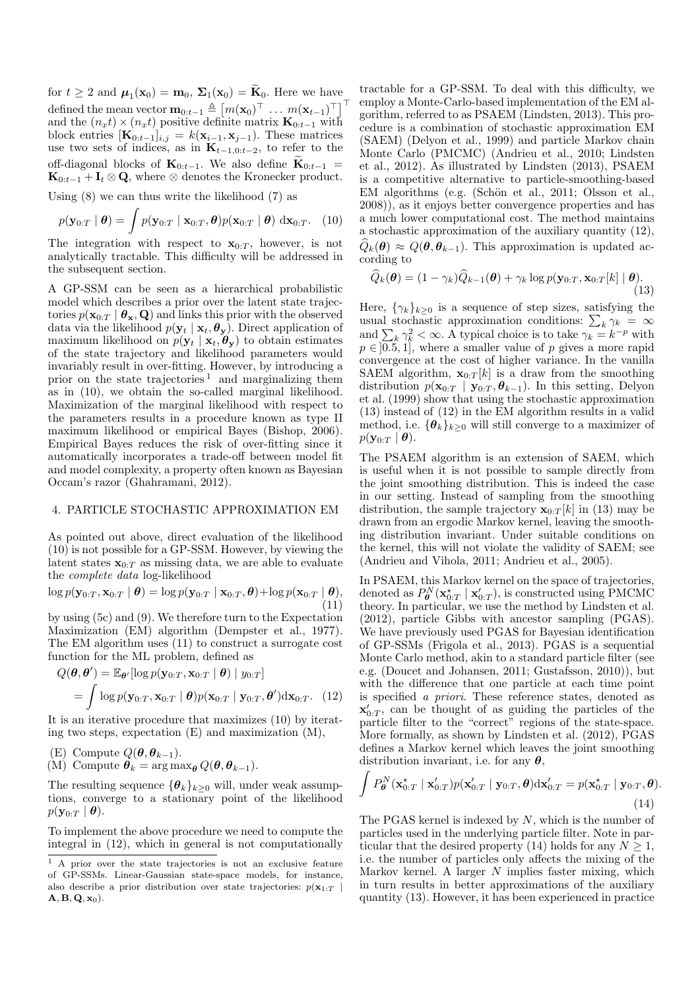for  $t \geq 2$  and  $\mu_1(\mathbf{x}_0) = \mathbf{m}_0$ ,  $\Sigma_1(\mathbf{x}_0) = \mathbf{K}_0$ . Here we have defined the mean vector  $\mathbf{m}_{0:t-1} \triangleq \left[m(\mathbf{x}_0)^\top \; \dots \; m(\mathbf{x}_{t-1})^\top \right]^\top$ and the  $(n_x t) \times (n_x t)$  positive definite matrix  $\mathbf{K}_{0:t-1}$  with block entries  $[\mathbf{K}_{0:t-1}]_{i,j} = k(\mathbf{x}_{i-1}, \mathbf{x}_{j-1})$ . These matrices use two sets of indices, as in  $\mathbf{K}_{t-1,0:t-2}$ , to refer to the off-diagonal blocks of  $\mathbf{K}_{0:t-1}$ . We also define  $\mathbf{K}_{0:t-1}$  =  $\mathbf{K}_{0:t-1} + \mathbf{I}_t \otimes \mathbf{Q}$ , where ⊗ denotes the Kronecker product.

Using (8) we can thus write the likelihood (7) as

$$
p(\mathbf{y}_{0:T} | \boldsymbol{\theta}) = \int p(\mathbf{y}_{0:T} | \mathbf{x}_{0:T}, \boldsymbol{\theta}) p(\mathbf{x}_{0:T} | \boldsymbol{\theta}) d\mathbf{x}_{0:T}.
$$
 (10)

The integration with respect to  $\mathbf{x}_0$ . The not analytically tractable. This difficulty will be addressed in the subsequent section.

A GP-SSM can be seen as a hierarchical probabilistic model which describes a prior over the latent state trajectories  $p(\mathbf{x}_{0:T} | \boldsymbol{\theta}_{\mathbf{x}}, \mathbf{Q})$  and links this prior with the observed data via the likelihood  $p(\mathbf{y}_t | \mathbf{x}_t, \boldsymbol{\theta}_\mathbf{y})$ . Direct application of maximum likelihood on  $p(\mathbf{y}_t | \mathbf{x}_t, \boldsymbol{\theta}_\mathbf{y})$  to obtain estimates of the state trajectory and likelihood parameters would invariably result in over-fitting. However, by introducing a prior on the state trajectories  $1$  and marginalizing them as in (10), we obtain the so-called marginal likelihood. Maximization of the marginal likelihood with respect to the parameters results in a procedure known as type II maximum likelihood or empirical Bayes (Bishop, 2006). Empirical Bayes reduces the risk of over-fitting since it automatically incorporates a trade-off between model fit and model complexity, a property often known as Bayesian Occam's razor (Ghahramani, 2012).

# 4. PARTICLE STOCHASTIC APPROXIMATION EM

As pointed out above, direct evaluation of the likelihood (10) is not possible for a GP-SSM. However, by viewing the latent states  $\mathbf{x}_0$ . T as missing data, we are able to evaluate the complete data log-likelihood

$$
\log p(\mathbf{y}_{0:T}, \mathbf{x}_{0:T} | \boldsymbol{\theta}) = \log p(\mathbf{y}_{0:T} | \mathbf{x}_{0:T}, \boldsymbol{\theta}) + \log p(\mathbf{x}_{0:T} | \boldsymbol{\theta}),
$$
\n(11)

by using (5c) and (9). We therefore turn to the Expectation Maximization (EM) algorithm (Dempster et al., 1977). The EM algorithm uses (11) to construct a surrogate cost function for the ML problem, defined as

$$
Q(\boldsymbol{\theta}, \boldsymbol{\theta}') = \mathbb{E}_{\boldsymbol{\theta}'}[\log p(\mathbf{y}_{0:T}, \mathbf{x}_{0:T} | \boldsymbol{\theta}) | y_{0:T}]
$$
  
= 
$$
\int \log p(\mathbf{y}_{0:T}, \mathbf{x}_{0:T} | \boldsymbol{\theta}) p(\mathbf{x}_{0:T} | \mathbf{y}_{0:T}, \boldsymbol{\theta}') d\mathbf{x}_{0:T}.
$$
 (12)

It is an iterative procedure that maximizes (10) by iterating two steps, expectation  $(E)$  and maximization  $(M)$ ,

(E) Compute 
$$
Q(\theta, \theta_{k-1})
$$
.  
(M) Compute  $\theta_k = \arg \max_{\theta} Q(\theta, \theta_{k-1})$ .

The resulting sequence  $\{\boldsymbol{\theta}_k\}_{k\geq 0}$  will, under weak assumptions, converge to a stationary point of the likelihood  $p(\mathbf{y}_{0:T} | \boldsymbol{\theta}).$ 

To implement the above procedure we need to compute the integral in (12), which in general is not computationally tractable for a GP-SSM. To deal with this difficulty, we employ a Monte-Carlo-based implementation of the EM algorithm, referred to as PSAEM (Lindsten, 2013). This procedure is a combination of stochastic approximation EM (SAEM) (Delyon et al., 1999) and particle Markov chain Monte Carlo (PMCMC) (Andrieu et al., 2010; Lindsten et al., 2012). As illustrated by Lindsten (2013), PSAEM is a competitive alternative to particle-smoothing-based EM algorithms (e.g. (Schön et al., 2011; Olsson et al., 2008)), as it enjoys better convergence properties and has a much lower computational cost. The method maintains a stochastic approximation of the auxiliary quantity (12),  $Q_k(\theta) \approx Q(\theta, \theta_{k-1})$ . This approximation is updated according to

$$
\widehat{Q}_k(\boldsymbol{\theta}) = (1 - \gamma_k)\widehat{Q}_{k-1}(\boldsymbol{\theta}) + \gamma_k \log p(\mathbf{y}_{0:T}, \mathbf{x}_{0:T}[k] | \boldsymbol{\theta}).
$$
\n(13)

Here,  $\{\gamma_k\}_{k\geq 0}$  is a sequence of step sizes, satisfying the usual stochastic approximation conditions:  $\sum_{k} \gamma_k = \infty$ and  $\sum_{k} \gamma_k^2 < \infty$ . A typical choice is to take  $\gamma_k = k^{-p}$  with  $p \in ]0.5, 1]$ , where a smaller value of p gives a more rapid convergence at the cost of higher variance. In the vanilla SAEM algorithm,  $\mathbf{x}_{0:T}[k]$  is a draw from the smoothing distribution  $p(\mathbf{x}_{0:T} | \mathbf{y}_{0:T}, \boldsymbol{\theta}_{k-1})$ . In this setting, Delyon et al. (1999) show that using the stochastic approximation (13) instead of (12) in the EM algorithm results in a valid method, i.e.  $\{\boldsymbol{\theta}_k\}_{k\geq 0}$  will still converge to a maximizer of  $p(\mathbf{y}_{0:T} | \boldsymbol{\theta}).$ 

The PSAEM algorithm is an extension of SAEM, which is useful when it is not possible to sample directly from the joint smoothing distribution. This is indeed the case in our setting. Instead of sampling from the smoothing distribution, the sample trajectory  $\mathbf{x}_{0:T}[k]$  in (13) may be drawn from an ergodic Markov kernel, leaving the smoothing distribution invariant. Under suitable conditions on the kernel, this will not violate the validity of SAEM; see (Andrieu and Vihola, 2011; Andrieu et al., 2005).

In PSAEM, this Markov kernel on the space of trajectories, denoted as  $P_{\theta}^{N}(\mathbf{x}_{0:T}^{\star} | \mathbf{x}_{0:T}^{\prime}),$  is constructed using PMCMC theory. In particular, we use the method by Lindsten et al. (2012), particle Gibbs with ancestor sampling (PGAS). We have previously used PGAS for Bayesian identification of GP-SSMs (Frigola et al., 2013). PGAS is a sequential Monte Carlo method, akin to a standard particle filter (see e.g. (Doucet and Johansen, 2011; Gustafsson, 2010)), but with the difference that one particle at each time point is specified a priori. These reference states, denoted as  $\mathbf{x}'_{0:T}$ , can be thought of as guiding the particles of the particle filter to the "correct" regions of the state-space. More formally, as shown by Lindsten et al. (2012), PGAS defines a Markov kernel which leaves the joint smoothing distribution invariant, i.e. for any  $\theta$ ,

$$
\int P_{\boldsymbol{\theta}}^{N}(\mathbf{x}_{0:T}^{\star} \mid \mathbf{x}_{0:T}^{\prime}) p(\mathbf{x}_{0:T}^{\prime} \mid \mathbf{y}_{0:T}, \boldsymbol{\theta}) \mathrm{d}\mathbf{x}_{0:T}^{\prime} = p(\mathbf{x}_{0:T}^{\star} \mid \mathbf{y}_{0:T}, \boldsymbol{\theta}).
$$
\n(14)

r

The PGAS kernel is indexed by N, which is the number of particles used in the underlying particle filter. Note in particular that the desired property (14) holds for any  $N \geq 1$ , i.e. the number of particles only affects the mixing of the Markov kernel. A larger  $N$  implies faster mixing, which in turn results in better approximations of the auxiliary quantity (13). However, it has been experienced in practice

<sup>1</sup> A prior over the state trajectories is not an exclusive feature of GP-SSMs. Linear-Gaussian state-space models, for instance, also describe a prior distribution over state trajectories:  $p(\mathbf{x}_{1:T} | \mathbf{x}_{1:T})$  $\mathbf{A}, \mathbf{B}, \mathbf{O}, \mathbf{x}_0$ .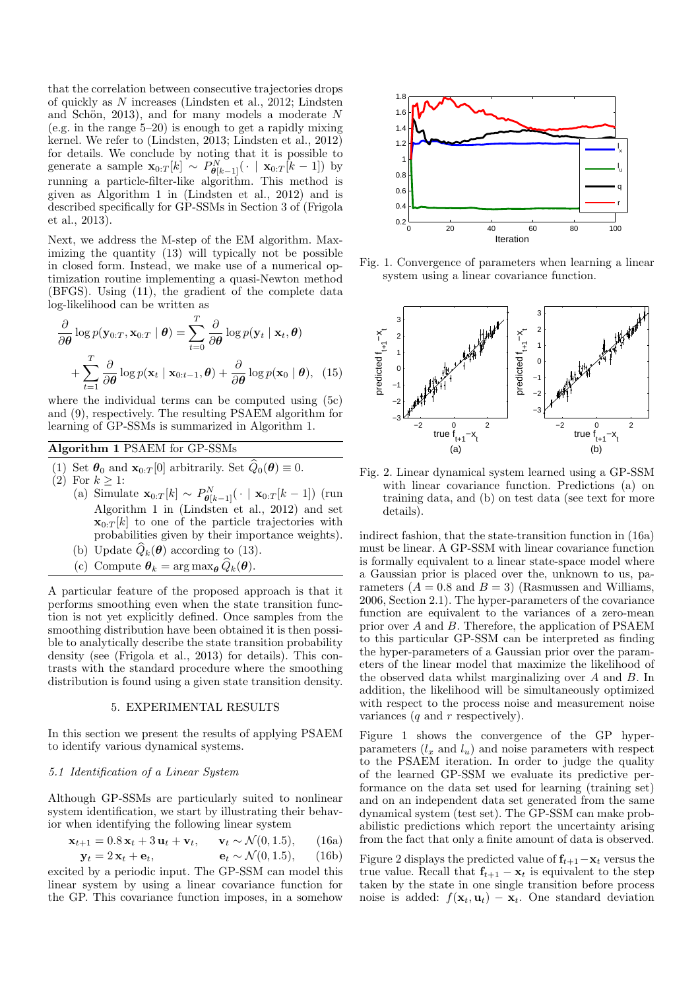that the correlation between consecutive trajectories drops of quickly as N increases (Lindsten et al., 2012; Lindsten and Schön, 2013), and for many models a moderate  $N$ (e.g. in the range 5–20) is enough to get a rapidly mixing kernel. We refer to (Lindsten, 2013; Lindsten et al., 2012) for details. We conclude by noting that it is possible to generate a sample  $\mathbf{x}_{0:T}[k] \sim P_{\boldsymbol{\theta}[k-1]}^N(\cdot \mid \mathbf{x}_{0:T}[k-1])$  by running a particle-filter-like algorithm. This method is given as Algorithm 1 in (Lindsten et al., 2012) and is described specifically for GP-SSMs in Section 3 of (Frigola et al., 2013).

Next, we address the M-step of the EM algorithm. Maximizing the quantity (13) will typically not be possible in closed form. Instead, we make use of a numerical optimization routine implementing a quasi-Newton method (BFGS). Using (11), the gradient of the complete data log-likelihood can be written as

$$
\frac{\partial}{\partial \boldsymbol{\theta}} \log p(\mathbf{y}_{0:T}, \mathbf{x}_{0:T} | \boldsymbol{\theta}) = \sum_{t=0}^{T} \frac{\partial}{\partial \boldsymbol{\theta}} \log p(\mathbf{y}_t | \mathbf{x}_t, \boldsymbol{\theta}) + \sum_{t=1}^{T} \frac{\partial}{\partial \boldsymbol{\theta}} \log p(\mathbf{x}_t | \mathbf{x}_{0:t-1}, \boldsymbol{\theta}) + \frac{\partial}{\partial \boldsymbol{\theta}} \log p(\mathbf{x}_0 | \boldsymbol{\theta}), (15)
$$

where the individual terms can be computed using (5c) and (9), respectively. The resulting PSAEM algorithm for learning of GP-SSMs is summarized in Algorithm 1.

# Algorithm 1 PSAEM for GP-SSMs

- (1) Set  $\theta_0$  and  $\mathbf{x}_{0:T}[0]$  arbitrarily. Set  $\widehat{Q}_0(\boldsymbol{\theta}) \equiv 0$ .
- $(2)$  For  $k \geq 1$ :
	- (a) Simulate  $\mathbf{x}_{0:T}[k] \sim P_{\boldsymbol{\theta}[k-1]}^N(\cdot \mid \mathbf{x}_{0:T}[k-1])$  (run Algorithm 1 in (Lindsten et al., 2012) and set  $\mathbf{x}_{0:T}[k]$  to one of the particle trajectories with probabilities given by their importance weights).
	- (b) Update  $\widehat{Q}_k(\boldsymbol{\theta})$  according to (13).
	- (c) Compute  $\boldsymbol{\theta}_k = \arg \max_{\boldsymbol{\theta}} \widehat{Q}_k(\boldsymbol{\theta}).$

A particular feature of the proposed approach is that it performs smoothing even when the state transition function is not yet explicitly defined. Once samples from the smoothing distribution have been obtained it is then possible to analytically describe the state transition probability density (see (Frigola et al., 2013) for details). This contrasts with the standard procedure where the smoothing distribution is found using a given state transition density.

### 5. EXPERIMENTAL RESULTS

In this section we present the results of applying PSAEM to identify various dynamical systems.

### 5.1 Identification of a Linear System

Although GP-SSMs are particularly suited to nonlinear system identification, we start by illustrating their behavior when identifying the following linear system

$$
\mathbf{x}_{t+1} = 0.8 \mathbf{x}_t + 3 \mathbf{u}_t + \mathbf{v}_t, \quad \mathbf{v}_t \sim \mathcal{N}(0, 1.5), \quad \text{(16a)}
$$
\n
$$
\mathbf{y}_t = 2 \mathbf{x}_t + \mathbf{e}_t, \quad \mathbf{e}_t \sim \mathcal{N}(0, 1.5), \quad \text{(16b)}
$$

excited by a periodic input. The GP-SSM can model this linear system by using a linear covariance function for the GP. This covariance function imposes, in a somehow



Fig. 1. Convergence of parameters when learning a linear system using a linear covariance function.



Fig. 2. Linear dynamical system learned using a GP-SSM with linear covariance function. Predictions (a) on training data, and (b) on test data (see text for more details).

indirect fashion, that the state-transition function in (16a) must be linear. A GP-SSM with linear covariance function is formally equivalent to a linear state-space model where a Gaussian prior is placed over the, unknown to us, parameters  $(A = 0.8$  and  $B = 3)$  (Rasmussen and Williams, 2006, Section 2.1). The hyper-parameters of the covariance function are equivalent to the variances of a zero-mean prior over A and B. Therefore, the application of PSAEM to this particular GP-SSM can be interpreted as finding the hyper-parameters of a Gaussian prior over the parameters of the linear model that maximize the likelihood of the observed data whilst marginalizing over A and B. In addition, the likelihood will be simultaneously optimized with respect to the process noise and measurement noise variances  $(q \text{ and } r \text{ respectively}).$ 

Figure 1 shows the convergence of the GP hyperparameters  $(l_x \text{ and } l_y)$  and noise parameters with respect to the PSAEM iteration. In order to judge the quality of the learned GP-SSM we evaluate its predictive performance on the data set used for learning (training set) and on an independent data set generated from the same dynamical system (test set). The GP-SSM can make probabilistic predictions which report the uncertainty arising from the fact that only a finite amount of data is observed.

Figure 2 displays the predicted value of  $\mathbf{f}_{t+1}-\mathbf{x}_t$  versus the true value. Recall that  $f_{t+1} - x_t$  is equivalent to the step taken by the state in one single transition before process noise is added:  $f(\mathbf{x}_t, \mathbf{u}_t) - \mathbf{x}_t$ . One standard deviation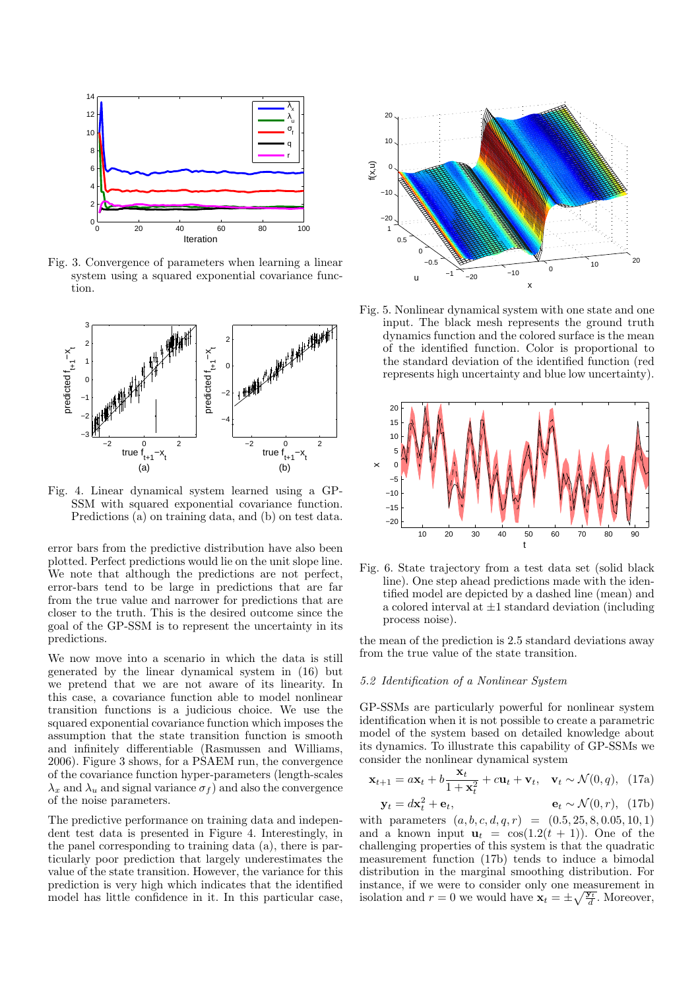

Fig. 3. Convergence of parameters when learning a linear system using a squared exponential covariance function.



Fig. 4. Linear dynamical system learned using a GP-SSM with squared exponential covariance function. Predictions (a) on training data, and (b) on test data.

error bars from the predictive distribution have also been plotted. Perfect predictions would lie on the unit slope line. We note that although the predictions are not perfect, error-bars tend to be large in predictions that are far from the true value and narrower for predictions that are closer to the truth. This is the desired outcome since the goal of the GP-SSM is to represent the uncertainty in its predictions.

We now move into a scenario in which the data is still generated by the linear dynamical system in (16) but we pretend that we are not aware of its linearity. In this case, a covariance function able to model nonlinear transition functions is a judicious choice. We use the squared exponential covariance function which imposes the assumption that the state transition function is smooth and infinitely differentiable (Rasmussen and Williams, 2006). Figure 3 shows, for a PSAEM run, the convergence of the covariance function hyper-parameters (length-scales  $\lambda_x$  and  $\lambda_y$  and signal variance  $\sigma_f$ ) and also the convergence of the noise parameters.

The predictive performance on training data and independent test data is presented in Figure 4. Interestingly, in the panel corresponding to training data (a), there is particularly poor prediction that largely underestimates the value of the state transition. However, the variance for this prediction is very high which indicates that the identified model has little confidence in it. In this particular case,



Fig. 5. Nonlinear dynamical system with one state and one input. The black mesh represents the ground truth dynamics function and the colored surface is the mean of the identified function. Color is proportional to the standard deviation of the identified function (red represents high uncertainty and blue low uncertainty).



Fig. 6. State trajectory from a test data set (solid black line). One step ahead predictions made with the identified model are depicted by a dashed line (mean) and a colored interval at  $\pm 1$  standard deviation (including process noise).

the mean of the prediction is 2.5 standard deviations away from the true value of the state transition.

# 5.2 Identification of a Nonlinear System

GP-SSMs are particularly powerful for nonlinear system identification when it is not possible to create a parametric model of the system based on detailed knowledge about its dynamics. To illustrate this capability of GP-SSMs we consider the nonlinear dynamical system

$$
\mathbf{x}_{t+1} = a\mathbf{x}_t + b\frac{\mathbf{x}_t}{1 + \mathbf{x}_t^2} + c\mathbf{u}_t + \mathbf{v}_t, \quad \mathbf{v}_t \sim \mathcal{N}(0, q), \tag{17a}
$$

$$
\mathbf{y}_t = d\mathbf{x}_t^2 + \mathbf{e}_t, \qquad \mathbf{e}_t \sim \mathcal{N}(0, r), \tag{17b}
$$

with parameters  $(a, b, c, d, q, r) = (0.5, 25, 8, 0.05, 10, 1)$ and a known input  $\mathbf{u}_t = \cos(1.2(t+1))$ . One of the challenging properties of this system is that the quadratic measurement function (17b) tends to induce a bimodal distribution in the marginal smoothing distribution. For instance, if we were to consider only one measurement in isolation and  $r = 0$  we would have  $\mathbf{x}_t = \pm \sqrt{\frac{\mathbf{y}_t}{d}}$ . Moreover,